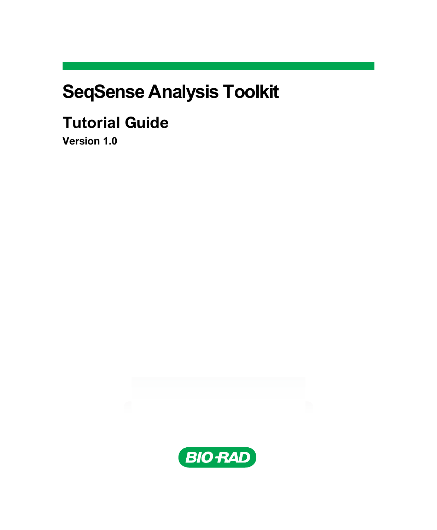## **SeqSense Analysis Toolkit**

**Tutorial** Guide

Version **1.0**

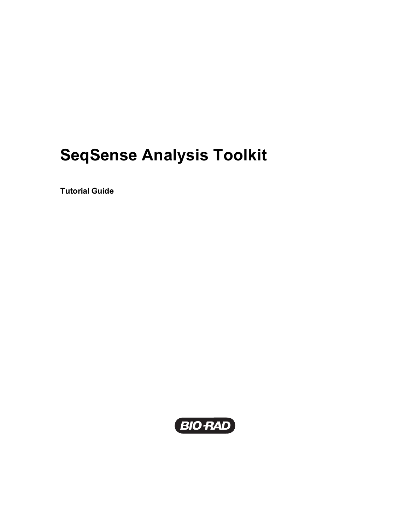# **SeqSense Analysis Toolkit**

**Tutorial Guide**

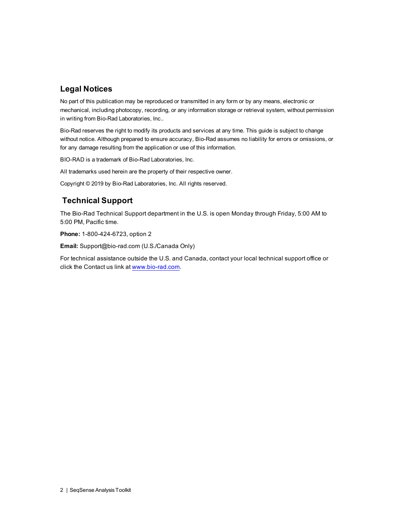### **Legal Notices**

No part of this publication may be reproduced or transmitted in any form or by any means, electronic or mechanical, including photocopy, recording, or any information storage or retrieval system, without permission in writing from Bio-Rad Laboratories, Inc..

Bio-Rad reserves the right to modify its products and services at any time. This guide is subject to change without notice. Although prepared to ensure accuracy, Bio-Rad assumes no liability for errors or omissions, or for any damage resulting from the application or use of this information.

BIO-RAD is a trademark of Bio-Rad Laboratories, Inc.

All trademarks used herein are the property of their respective owner.

Copyright © 2019 by Bio-Rad Laboratories, Inc. All rights reserved.

### **Technical Support**

The Bio-Rad Technical Support department in the U.S. is open Monday through Friday, 5:00 AM to 5:00 PM, Pacific time.

**Phone:** 1-800-424-6723, option 2

**Email:** Support@bio-rad.com (U.S./Canada Only)

For technical assistance outside the U.S. and Canada, contact your local technical support office or click the Contact us link at [www.bio-rad.com](http://www.bio-rad.com/).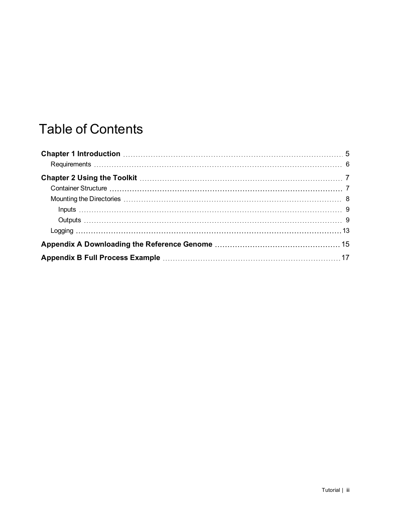## Table of Contents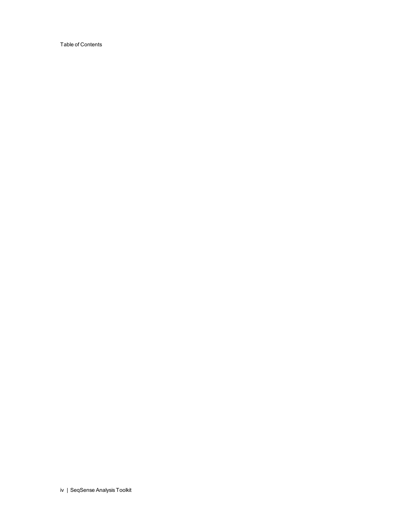Table of Contents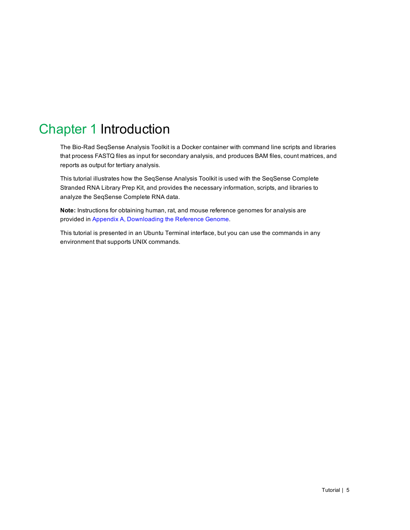## <span id="page-6-0"></span>Chapter 1 Introduction

The Bio-Rad SeqSense Analysis Toolkit is a Docker container with command line scripts and libraries that process FASTQ files as input for secondary analysis, and produces BAM files, count matrices, and reports as output for tertiary analysis.

This tutorial illustrates how the SeqSense Analysis Toolkit is used with the SeqSense Complete Stranded RNA Library Prep Kit, and provides the necessary information, scripts, and libraries to analyze the SeqSense Complete RNA data.

**Note:** Instructions for obtaining human, rat, and mouse reference genomes for analysis are provided in Appendix A, [Downloading](#page-16-0) the Reference Genome.

This tutorial is presented in an Ubuntu Terminal interface, but you can use the commands in any environment that supports UNIX commands.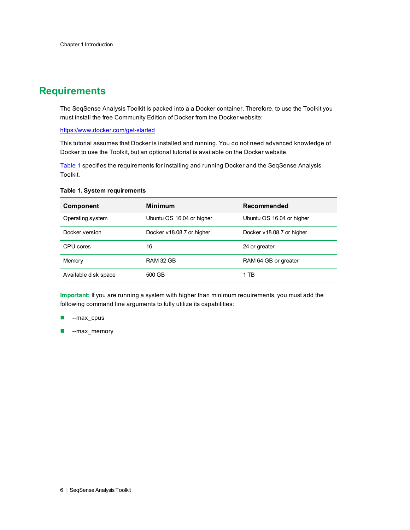### <span id="page-7-0"></span>**Requirements**

The SeqSense Analysis Toolkit is packed into a a Docker container. Therefore, to use the Toolkit you must install the free Community Edition of Docker from the Docker website:

<https://www.docker.com/get-started>

This tutorial assumes that Docker is installed and running. You do not need advanced knowledge of Docker to use the Toolkit, but an optional tutorial is available on the Docker website.

[Table](#page-7-1) 1 specifies the requirements for installing and running Docker and the SeqSense Analysis Toolkit.

#### <span id="page-7-1"></span>**Table 1. System requirements**

| <b>Component</b>     | <b>Minimum</b>            | Recommended               |
|----------------------|---------------------------|---------------------------|
| Operating system     | Ubuntu OS 16.04 or higher | Ubuntu OS 16.04 or higher |
| Docker version       | Docker v18.08.7 or higher | Docker v18.08.7 or higher |
| CPU cores            | 16                        | 24 or greater             |
| Memory               | <b>RAM 32 GB</b>          | RAM 64 GB or greater      |
| Available disk space | 500 GB                    | 1 TB                      |

**Important:** If you are running a system with higher than minimum requirements, you must add the following command line arguments to fully utilize its capabilities:

- $\blacksquare$  --max cpus
- **n** --max\_memory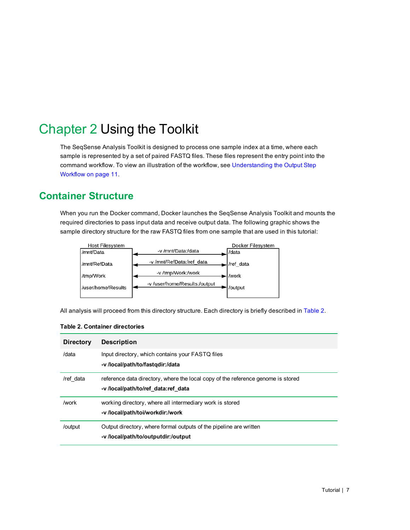## <span id="page-8-0"></span>Chapter 2 Using the Toolkit

The SeqSense Analysis Toolkit is designed to process one sample index at a time, where each sample is represented by a set of paired FASTQ files. These files represent the entry point into the command workflow. To view an illustration of the workflow, see [Understanding](#page-12-0) the Output Step [Workflow](#page-12-0) on page 11.

## <span id="page-8-1"></span>**Container Structure**

When you run the Docker command, Docker launches the SeqSense Analysis Toolkit and mounts the required directories to pass input data and receive output data. The following graphic shows the sample directory structure for the raw FASTQ files from one sample that are used in this tutorial:



<span id="page-8-2"></span>All analysis will proceed from this directory structure. Each directory is briefly described in [Table](#page-8-2) 2.

#### **Table 2. Container directories**

| <b>Directory</b> | <b>Description</b>                                                                                                      |
|------------------|-------------------------------------------------------------------------------------------------------------------------|
| /data            | Input directory, which contains your FASTQ files<br>-v /local/path/to/fastgdir:/data                                    |
| /ref data        | reference data directory, where the local copy of the reference genome is stored<br>-v /local/path/to/ref data:ref data |
| /work            | working directory, where all intermediary work is stored<br>-v /local/path/toi/workdir:/work                            |
| /output          | Output directory, where formal outputs of the pipeline are written<br>-v /local/path/to/outputdir:/output               |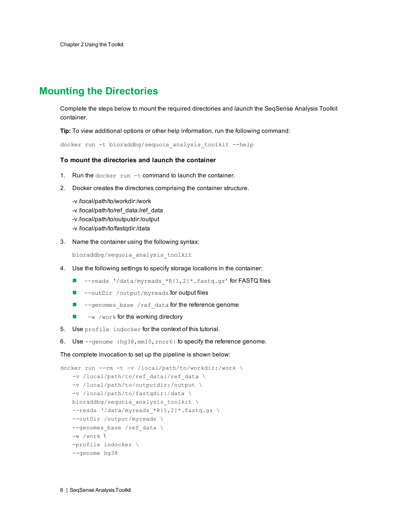## <span id="page-9-0"></span>**Mounting the Directories**

Complete the steps below to mount the required directories and launch the SeqSense Analysis Toolkit container.

**Tip:** To view additional options or other help information, run the following command:

docker run -t bioraddbg/sequoia\_analysis\_toolkit --help

#### **To mount the directories and launch the container**

- 1. Run the docker run -t command to launch the container.
- 2. Docker creates the directories comprising the container structure.
	- -v /local/path/to/workdir:/work
	- -v /local/path/to/ref\_data:/ref\_data
	- -v /local/path/to/outputdir:/output
	- -v /local/path/to/fastqdir:/data
- 3. Name the container using the following syntax:

bioraddbg/sequoia\_analysis\_toolkit

- 4. Use the following settings to specify storage locations in the container:
	- $\blacksquare$  --reads '/data/myreads \*R{1,2}\*.fastq.gz' for FASTQ files
	- $\blacksquare$  --outDir /output/myreads for output files
	- **n** --genomes base /ref data for the reference genome
	- $\blacksquare$  -w /work for the working directory
- 5. Use profile indocker for the context of this tutorial.
- 6. Use --genome {hg38, mm10, rnor6} to specify the reference genome.

The complete invocation to set up the pipeline is shown below:

```
docker run --rm -t -v /local/path/to/workdir:/work \
   -v /local/path/to/ref_data:/ref_data \
   -v /local/path/to/outputdir:/output \
   -v /local/path/to/fastqdir:/data \
   bioraddbg/sequoia analysis toolkit \setminus--reads '/data/myreads *R{1,2}*.fastq.gz \
   --outDir /output/myreads \
   --genomes base /ref data \
   -w /work \
   -profile indocker \
   --genome hg38
```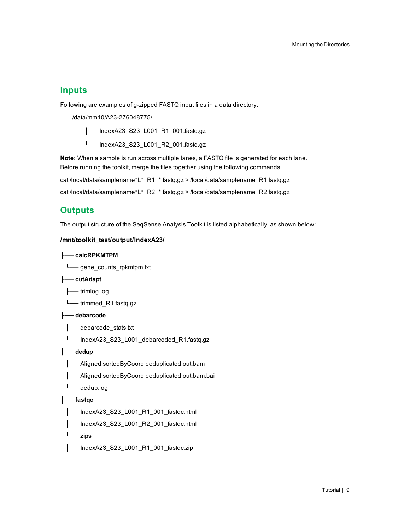### <span id="page-10-0"></span>**Inputs**

Following are examples of g-zipped FASTQ input files in a data directory:

/data/mm10/A23-276048775/

├── IndexA23\_S23\_L001\_R1\_001.fastq.gz

└── IndexA23\_S23\_L001\_R2\_001.fastq.gz

**Note:** When a sample is run across multiple lanes, a FASTQ file is generated for each lane. Before running the toolkit, merge the files together using the following commands:

cat /local/data/samplename\*L\*\_R1\_\*.fastq.gz > /local/data/samplename\_R1.fastq.gz

<span id="page-10-1"></span>cat /local/data/samplename\*L\*\_R2\_\*.fastq.gz > /local/data/samplename\_R2.fastq.gz

### **Outputs**

The output structure of the SeqSense Analysis Toolkit is listed alphabetically, as shown below:

#### **/mnt/toolkit\_test/output/IndexA23/**

| ├── calcRPKMTPM                                |
|------------------------------------------------|
|                                                |
| $\vdash$ cutAdapt                              |
| $\vert \vert$ - trimlog.log                    |
| │ └── trimmed_R1.fastq.gz                      |
| $\leftarrow$ debarcode                         |
|                                                |
| │ └── IndexA23_S23_L001_debarcoded_R1.fastq.gz |
| $\vdash$ dedup                                 |
|                                                |
|                                                |
| $\vert$ - $\vert$ dedup.log                    |
| $\leftarrow$ fastqc                            |
|                                                |
|                                                |
| $\vert -$ = zips                               |
|                                                |
|                                                |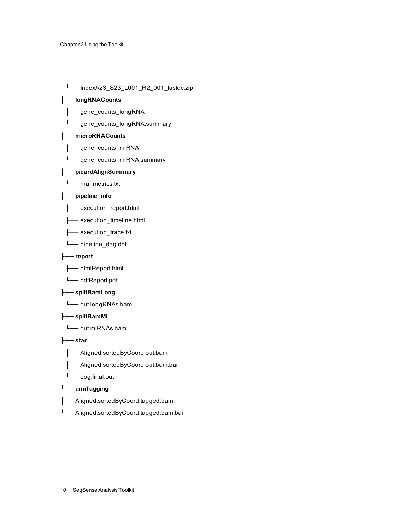| --- longRNACounts                          |
|--------------------------------------------|
|                                            |
|                                            |
| --- microRNACounts                         |
|                                            |
|                                            |
| ├── picardAlignSummary                     |
| │ └── rna_metrics.txt                      |
| -- pipeline_info                           |
| $\vert \downarrow--$ execution_report.html |
| --- execution_timeline.html                |
|                                            |
| │ └── pipeline_dag.dot                     |
| ├── report                                 |
|                                            |
| │ └── pdfReport.pdf                        |
| ├── splitBamLong                           |
| │ └── out.longRNAs.bam                     |
| ├── splitBamMi                             |
| │ └── out.miRNAs.bam                       |
| ├── star                                   |
|                                            |
| -- Aligned.sortedByCoord.out.bam.bai<br>L  |
|                                            |
| L <sub>—</sub> umiTagging                  |
| --- Aligned.sortedByCoord.tagged.bam       |
|                                            |

└── Aligned.sortedByCoord.tagged.bam.bai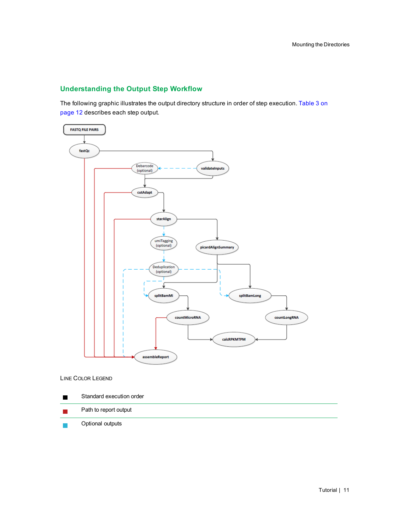### <span id="page-12-0"></span>**Understanding the Output Step Workflow**

The following graphic illustrates the output directory structure in order of step execution. [Table](#page-13-0) 3 on [page](#page-13-0) 12 describes each step output.



LINE COLOR LEGEND

- Standard execution order  $\blacksquare$
- Path to report output
- Optional outputs **I**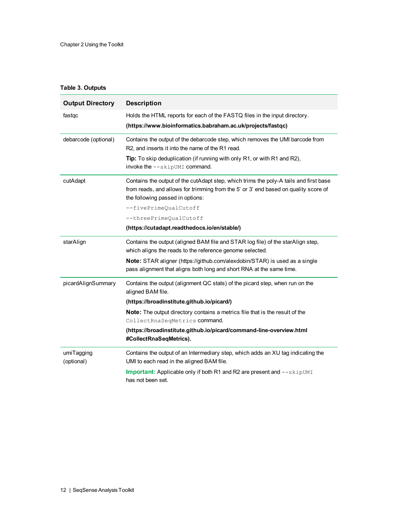#### <span id="page-13-0"></span>**Table 3. Outputs**

| <b>Output Directory</b>  | <b>Description</b>                                                                                                                                                                                                                                                                                                                                                        |
|--------------------------|---------------------------------------------------------------------------------------------------------------------------------------------------------------------------------------------------------------------------------------------------------------------------------------------------------------------------------------------------------------------------|
| fastgc                   | Holds the HTML reports for each of the FASTQ files in the input directory.<br>(https://www.bioinformatics.babraham.ac.uk/projects/fastqc)                                                                                                                                                                                                                                 |
| debarcode (optional)     | Contains the output of the debarcode step, which removes the UMI barcode from<br>R2, and inserts it into the name of the R1 read.<br><b>Tip:</b> To skip deduplication (if running with only R1, or with R1 and R2),<br>invoke the --skipUMI command.                                                                                                                     |
| cutAdapt                 | Contains the output of the cutAdapt step, which trims the poly-A tails and first base<br>from reads, and allows for trimming from the 5' or 3' end based on quality score of<br>the following passed in options:<br>--fivePrimeOualCutoff<br>--threePrimeQualCutoff<br>(https://cutadapt.readthedocs.io/en/stable/)                                                       |
| starAlign                | Contains the output (aligned BAM file and STAR log file) of the starAlign step,<br>which aligns the reads to the reference genome selected.<br>Note: STAR aligner (https://github.com/alexdobin/STAR) is used as a single<br>pass alignment that aligns both long and short RNA at the same time.                                                                         |
| picardAlignSummary       | Contains the output (alignment QC stats) of the picard step, when run on the<br>aligned BAM file.<br>(https://broadinstitute.github.io/picard/)<br><b>Note:</b> The output directory contains a metrics file that is the result of the<br>CollectRnaSeqMetrics command.<br>(https://broadinstitute.github.io/picard/command-line-overview.html<br>#CollectRnaSeqMetrics). |
| umiTagging<br>(optional) | Contains the output of an Intermediary step, which adds an XU tag indicating the<br>UMI to each read in the aligned BAM file.<br><b>Important:</b> Applicable only if both R1 and R2 are present and --skipUMI<br>has not been set.                                                                                                                                       |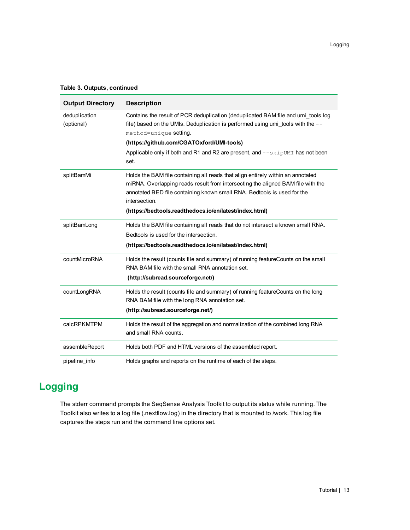#### **Table 3. Outputs, continued**

| <b>Output Directory</b>     | <b>Description</b>                                                                                                                                                                                                                                                                                                                      |
|-----------------------------|-----------------------------------------------------------------------------------------------------------------------------------------------------------------------------------------------------------------------------------------------------------------------------------------------------------------------------------------|
| deduplication<br>(optional) | Contains the result of PCR deduplication (deduplicated BAM file and umi_tools log<br>file) based on the UMIs. Deduplication is performed using umi_tools with the --<br>method=unique setting.<br>(https://github.com/CGATOxford/UMI-tools)<br>Applicable only if both and R1 and R2 are present, and $--$ skipUMI has not been<br>set. |
| splitBamMi                  | Holds the BAM file containing all reads that align entirely within an annotated<br>miRNA. Overlapping reads result from intersecting the aligned BAM file with the<br>annotated BED file containing known small RNA. Bedtools is used for the<br>intersection.<br>(https://bedtools.readthedocs.io/en/latest/index.html)                |
| splitBamLong                | Holds the BAM file containing all reads that do not intersect a known small RNA.<br>Bedtools is used for the intersection.<br>(https://bedtools.readthedocs.io/en/latest/index.html)                                                                                                                                                    |
| countMicroRNA               | Holds the result (counts file and summary) of running featureCounts on the small<br>RNA BAM file with the small RNA annotation set.<br>(http://subread.sourceforge.net/)                                                                                                                                                                |
| countLongRNA                | Holds the result (counts file and summary) of running featureCounts on the long<br>RNA BAM file with the long RNA annotation set.<br>(http://subread.sourceforge.net/)                                                                                                                                                                  |
| calcRPKMTPM                 | Holds the result of the aggregation and normalization of the combined long RNA<br>and small RNA counts.                                                                                                                                                                                                                                 |
| assembleReport              | Holds both PDF and HTML versions of the assembled report.                                                                                                                                                                                                                                                                               |
| pipeline info               | Holds graphs and reports on the runtime of each of the steps.                                                                                                                                                                                                                                                                           |

## <span id="page-14-0"></span>**Logging**

The stderr command prompts the SeqSense Analysis Toolkit to output its status while running. The Toolkit also writes to a log file (.nextflow.log) in the directory that is mounted to /work. This log file captures the steps run and the command line options set.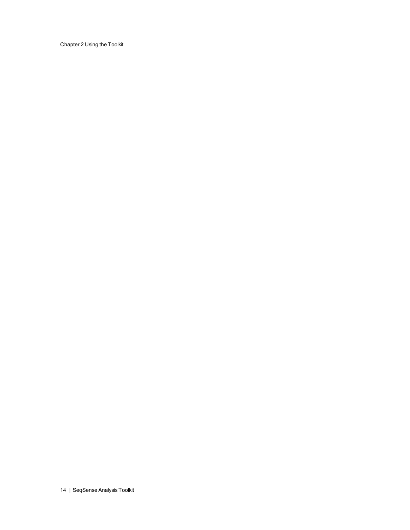Chapter 2 Using the Toolkit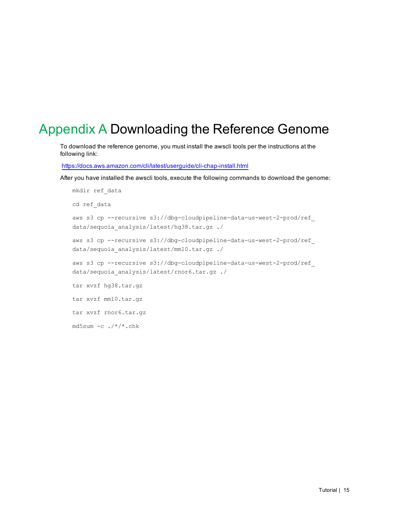## <span id="page-16-0"></span>Appendix A Downloading the Reference Genome

To download the reference genome, you must install the awscli tools per the instructions at the following link:

<https://docs.aws.amazon.com/cli/latest/userguide/cli-chap-install.html>

After you have installed the awscli tools, execute the following commands to download the genome:

```
mkdir ref_data
cd ref_data
aws s3 cp --recursive s3://dbg-cloudpipeline-data-us-west-2-prod/ref_
data/sequoia analysis/latest/hg38.tar.gz ./
aws s3 cp --recursive s3://dbg-cloudpipeline-data-us-west-2-prod/ref_
data/sequoia analysis/latest/mm10.tar.gz ./
aws s3 cp --recursive s3://dbg-cloudpipeline-data-us-west-2-prod/ref_
data/sequoia analysis/latest/rnor6.tar.gz ./
tar xvzf hg38.tar.gz
tar xvzf mm10.tar.gz
tar xvzf rnor6.tar.gz
md5sum -c./*/*.chk
```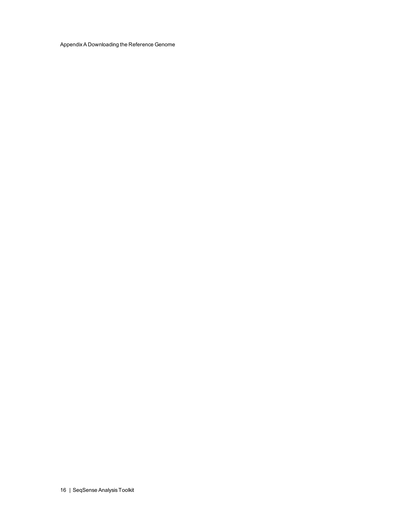AppendixA Downloading the Reference Genome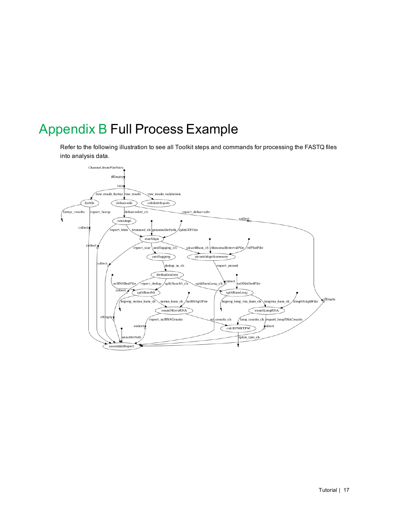## <span id="page-18-0"></span>Appendix B Full Process Example

Refer to the following illustration to see all Toolkit steps and commands for processing the FASTQ files into analysis data.

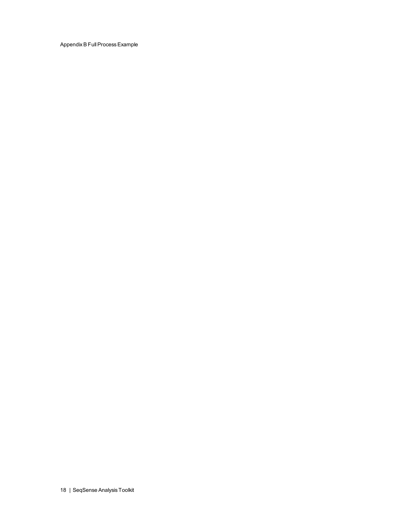Appendix B Full Process Example